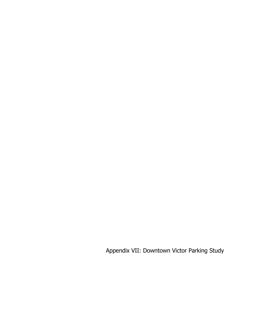Appendix VII: Downtown Victor Parking Study